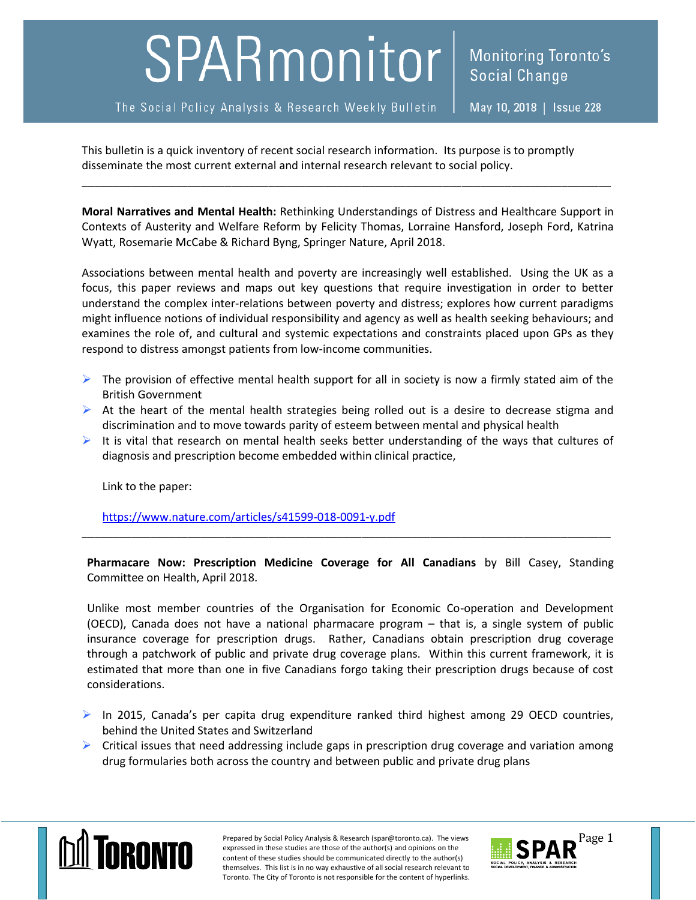## SPARmonitor

The Social Policy Analysis & Research Weekly Bulletin

This bulletin is a quick inventory of recent social research information. Its purpose is to promptly disseminate the most current external and internal research relevant to social policy.

**Moral Narratives and Mental Health:** Rethinking Understandings of Distress and Healthcare Support in Contexts of Austerity and Welfare Reform by Felicity Thomas, Lorraine Hansford, Joseph Ford, Katrina Wyatt, Rosemarie McCabe & Richard Byng, Springer Nature, April 2018.

\_\_\_\_\_\_\_\_\_\_\_\_\_\_\_\_\_\_\_\_\_\_\_\_\_\_\_\_\_\_\_\_\_\_\_\_\_\_\_\_\_\_\_\_\_\_\_\_\_\_\_\_\_\_\_\_\_\_\_\_\_\_\_\_\_\_\_\_\_\_\_\_\_\_\_\_\_\_\_\_\_\_\_\_\_

Associations between mental health and poverty are increasingly well established. Using the UK as a focus, this paper reviews and maps out key questions that require investigation in order to better understand the complex inter-relations between poverty and distress; explores how current paradigms might influence notions of individual responsibility and agency as well as health seeking behaviours; and examines the role of, and cultural and systemic expectations and constraints placed upon GPs as they respond to distress amongst patients from low-income communities.

- $\triangleright$  The provision of effective mental health support for all in society is now a firmly stated aim of the British Government
- $\triangleright$  At the heart of the mental health strategies being rolled out is a desire to decrease stigma and discrimination and to move towards parity of esteem between mental and physical health
- It is vital that research on mental health seeks better understanding of the ways that cultures of diagnosis and prescription become embedded within clinical practice,

Link to the paper:

<https://www.nature.com/articles/s41599-018-0091-y.pdf>

**Pharmacare Now: Prescription Medicine Coverage for All Canadians** by Bill Casey, Standing Committee on Health, April 2018.

\_\_\_\_\_\_\_\_\_\_\_\_\_\_\_\_\_\_\_\_\_\_\_\_\_\_\_\_\_\_\_\_\_\_\_\_\_\_\_\_\_\_\_\_\_\_\_\_\_\_\_\_\_\_\_\_\_\_\_\_\_\_\_\_\_\_\_\_\_\_\_\_\_\_\_\_\_\_\_\_\_\_\_\_\_

Unlike most member countries of the Organisation for Economic Co-operation and Development (OECD), Canada does not have a national pharmacare program – that is, a single system of public insurance coverage for prescription drugs. Rather, Canadians obtain prescription drug coverage through a patchwork of public and private drug coverage plans. Within this current framework, it is estimated that more than one in five Canadians forgo taking their prescription drugs because of cost considerations.

 $\triangleright$  In 2015, Canada's per capita drug expenditure ranked third highest among 29 OECD countries, behind the United States and Switzerland

 $\triangleright$  Critical issues that need addressing include gaps in prescription drug coverage and variation among drug formularies both across the country and between public and private drug plans



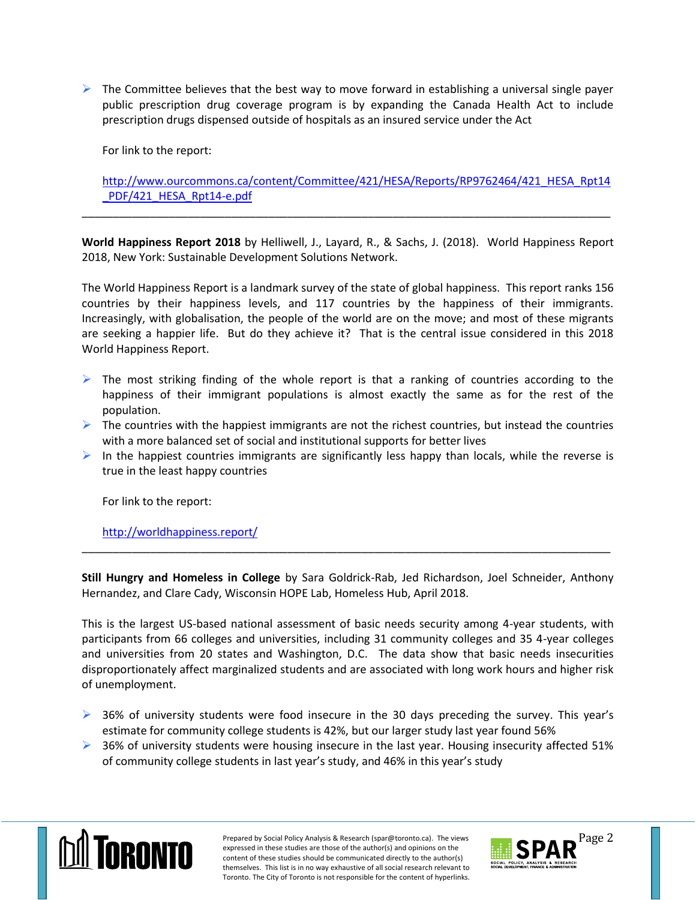$\triangleright$  The Committee believes that the best way to move forward in establishing a universal single payer public prescription drug coverage program is by expanding the Canada Health Act to include prescription drugs dispensed outside of hospitals as an insured service under the Act

For link to the report:

[http://www.ourcommons.ca/content/Committee/421/HESA/Reports/RP9762464/421\\_HESA\\_Rpt14](http://www.ourcommons.ca/content/Committee/421/HESA/Reports/RP9762464/421_HESA_Rpt14_PDF/421_HESA_Rpt14-e.pdf) PDF/421\_HESA\_Rpt14-e.pdf

**World Happiness Report 2018** by Helliwell, J., Layard, R., & Sachs, J. (2018). World Happiness Report 2018, New York: Sustainable Development Solutions Network.

\_\_\_\_\_\_\_\_\_\_\_\_\_\_\_\_\_\_\_\_\_\_\_\_\_\_\_\_\_\_\_\_\_\_\_\_\_\_\_\_\_\_\_\_\_\_\_\_\_\_\_\_\_\_\_\_\_\_\_\_\_\_\_\_\_\_\_\_\_\_\_\_\_\_\_\_\_\_\_\_\_\_\_\_\_

The World Happiness Report is a landmark survey of the state of global happiness. This report ranks 156 countries by their happiness levels, and 117 countries by the happiness of their immigrants. Increasingly, with globalisation, the people of the world are on the move; and most of these migrants are seeking a happier life. But do they achieve it? That is the central issue considered in this 2018 World Happiness Report.

- $\triangleright$  The most striking finding of the whole report is that a ranking of countries according to the happiness of their immigrant populations is almost exactly the same as for the rest of the population.
- $\triangleright$  The countries with the happiest immigrants are not the richest countries, but instead the countries with a more balanced set of social and institutional supports for better lives
- $\triangleright$  In the happiest countries immigrants are significantly less happy than locals, while the reverse is true in the least happy countries

For link to the report:

<http://worldhappiness.report/>

**Still Hungry and Homeless in College** by Sara Goldrick-Rab, Jed Richardson, Joel Schneider, Anthony Hernandez, and Clare Cady, Wisconsin HOPE Lab, Homeless Hub, April 2018.

\_\_\_\_\_\_\_\_\_\_\_\_\_\_\_\_\_\_\_\_\_\_\_\_\_\_\_\_\_\_\_\_\_\_\_\_\_\_\_\_\_\_\_\_\_\_\_\_\_\_\_\_\_\_\_\_\_\_\_\_\_\_\_\_\_\_\_\_\_\_\_\_\_\_\_\_\_\_\_\_\_\_\_\_\_

This is the largest US-based national assessment of basic needs security among 4-year students, with participants from 66 colleges and universities, including 31 community colleges and 35 4-year colleges and universities from 20 states and Washington, D.C. The data show that basic needs insecurities disproportionately affect marginalized students and are associated with long work hours and higher risk of unemployment.

- $\triangleright$  36% of university students were food insecure in the 30 days preceding the survey. This year's estimate for community college students is 42%, but our larger study last year found 56%
- $\triangleright$  36% of university students were housing insecure in the last year. Housing insecurity affected 51% of community college students in last year's study, and 46% in this year's study